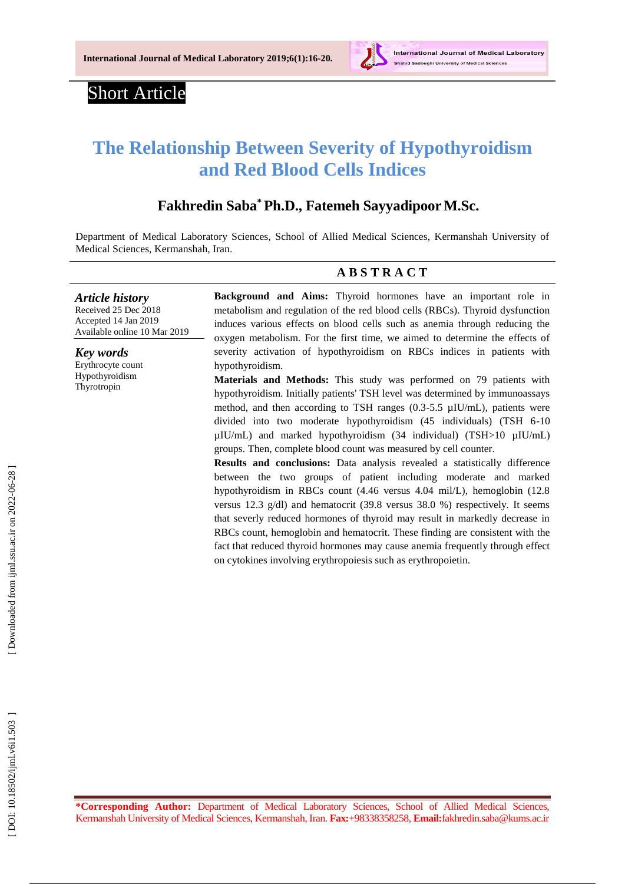

## Short Article

# **The Relationship Between Severity of Hypothyroidism and Red Blood Cells Indices**

## **Fakhredin Saba \*Ph.D ., Fatemeh Sayyadipoor M .Sc .**

Department of Medical Laboratory Sciences, School of Allied Medical Sciences, Kermanshah University of Medical Sciences, Kermanshah, Iran .

#### **A B S T R A C T**

*Article history* Received 25 Dec 201 8 Accepted 14 Jan 201 9 Available online 10 Mar 201 9

*Key words* Erythrocyte count

Hypothyroidism Thyrotropin

**Background and Aims:** Thyroid hormones have an important role in metabolism and regulation of the red blood cells (RBC s). Thyroid dysfunction induces various effects on blood cells such as anemia through reducing the oxygen metabolism. For the first time, we aimed to determine the effects of severity activation of hypothyroidism on RBCs indices in patients with hypothyroidism.

**Materials and Methods:** This study was performed on 79 patients with hypothyroidism. Initially patients' TSH level was determined by immunoassays method, and then according to TSH ranges (0.3-5.5 µIU/mL), patients were divided into two moderate hypothyroidism (45 individuals) (TSH 6 -10 µIU/mL) and marked hypothyroidism (34 individual) (TSH>10 µIU/mL) groups. Then, complete blood count was measured by cell counter.

**Results and conclusions:** Data analysis revealed a statistically difference between the two groups of patient including moderate and marked hypothyroidism in RBC s count (4.46 versus 4.04 mil/L), hemoglobin (12.8 versus 12.3 g/d l) and hematocrit (39.8 versus 38.0 %) respectively. It seems that sever ly reduced hormones of thyroid may result in markedly decrease in RBC s count, hemoglobin and hematocrit. These finding are consistent with the fact that reduced thyroid hormones may cause anemia frequently through effect on cytokines involving erythropoiesis such as erythropoietin.

**\*Corresponding Author:** Department of Medical Laboratory Sciences, School of Allied Medical Sciences, Kermanshah University of Medical Sciences, Kermanshah, Iran. **Fax:**+98338358258, **Email:**fakhredin.saba@kums.ac.ir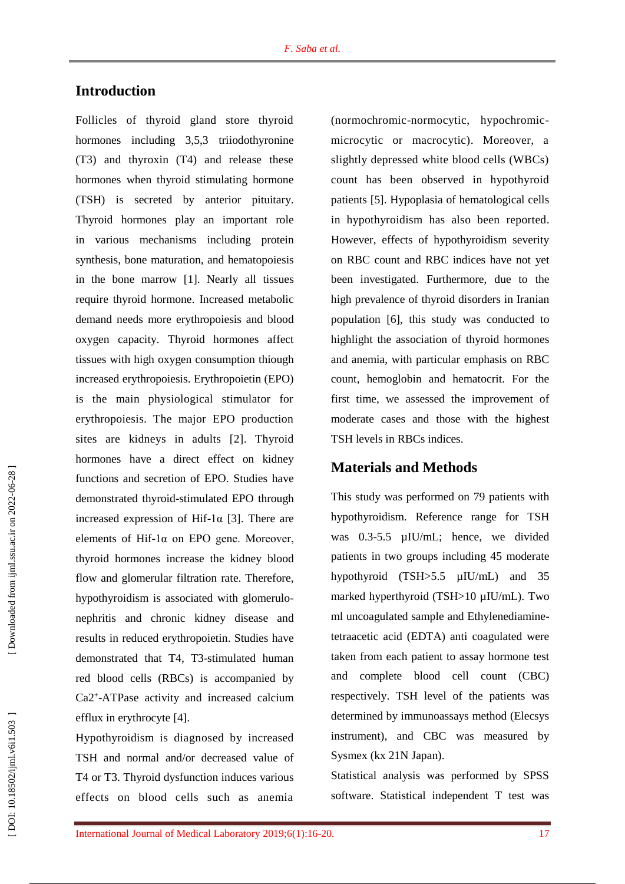## **Introduction**

Follicles of thyroid gland store thyroid hormones including 3,5,3 triiodothyronine (T3) and thyroxin (T4) and release these hormones when thyroid stimulating hormone (TSH) is secreted by anterior pituitary. Thyroid hormones play an important role in various mechanisms including protein synthesis, bone maturation, and hematopoiesis in the bone marrow [1]. Nearly all tissue s require thyroid hormone. Increased metabolic demand need s more erythropoiesis and blood oxygen capacity. Thyroid hormones affect tissues with high oxygen consumption thiough increased erythropoiesis. Erythropoietin (EPO) is the main physiological stimulator for erythropoiesis. The major EPO production sites are kidneys in adults [2]. Thyroid hormones have a direct effect on kidney functions and secretion of EPO. Studies have demonstrated thyroid -stimulate d EPO through increased expression of Hif-1 $\alpha$  [3]. There are elements of Hif-1α on EPO gene. Moreover, thyroid hormones increase the kidney blood flow and glomerular filtration rate. Therefore, hypothyroidism is associated with glomerulo nephritis and chronic kidney disease and result s in reduced erythropoietin. Studies have demonstrated that T4, T3 -stimulated human red blood cells (RBC s ) is accompanied by Ca2 + -ATPase activity and increased calcium efflux in erythrocyte [ 4 ].

Hypothyroidism is diagnosed by increased TSH and normal and/or decreased value of T4 or T3. Thyroid dysfunction induces various effects on blood cells such as anemia

(normochromic -normocytic, hypochromic microcytic or macrocytic). Moreover, a slightly depressed white blood cells (WBCs) count has been observed in hypothyroid patients [ 5 ]. Hypoplasia of hematological cells in hypothyroidism has also been reported. However, effects of hypothyroidism severity on RBC count and RBC indices have not yet been investigated. Furthermore, due to the high prevalence of thyroid disorders in Iranian population [ 6 ], this study was conducted to highlight the association of thyroid hormones and anemia, with particular emphasis on RBC count, hemoglobin and hematocrit. For the first time, we assessed the improvement of moderate cases and those with the highest TSH levels in RBCs indices.

## **Material s and Methods**

This study was performed on 79 patients with hypothyroidism. Reference range for TSH was 0.3 -5.5 µIU/mL; hence, we divided patients in two groups including 45 moderate hypothyroid (TSH>5.5 µIU/mL) and 35 marked hyperthyroid (TSH>10 µIU/mL). Two ml uncoagulated sample and Ethylenediamine tetraacetic acid (EDTA) anti coagulated were taken from each patient to assay hormone test and complete blood cell count (CBC) respectively. TSH level of the patients was determined by immunoassays method (Elecsys instrument), and CBC was measured by Sysmex (kx 21N Japan).

Statistical analysis was performed by SPSS software. Statistical independent T test was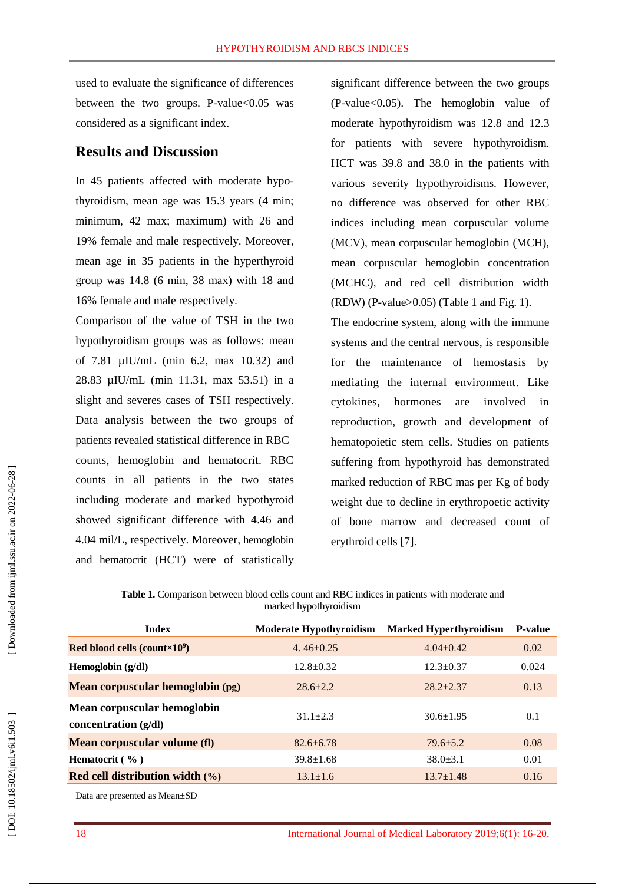used to evaluate the significance of differences between the two groups. P-value<0.05 was considered as a significant index .

### **Results and Discussion**

In 45 patients affected with moderate hypo thyroidism, mean age was 15.3 years (4 min; minimum, 42 max; maximum) with 26 and 19% female and male respectively. Moreover, mean age in 35 patients in the hyperthyroid group was 14.8 (6 min, 38 max) with 18 and 16% female and male respectively.

Comparison of the value of TSH in the two hypothyroidism groups was as follows: mean of 7.81 µIU/mL (min 6.2, max 10.32) and 28.83 µIU/mL (min 11.31, max 53.51) in a slight and sever es cases of TSH respectively. Data analysis between the two groups of patient s revealed statistical difference in RBC counts, hemoglobin and hematocrit. RBC counts in all patients in the two state s including moderate and marked hypothyroid showed significant difference with 4.46 and 4.04 mil/L, respectively. Moreover , hemoglobin and hematocrit (HCT ) were of statistically significant difference between the two groups (P-value<0.05). The hemoglobin value of moderate hypothyroidism was 12.8 and 12.3 for patients with sever e hypothyroidism. HCT was 39.8 and 38.0 in the patients with various severity hypothyroidisms. However, no difference was observed for other RBC indice s including mean corpuscular volume (MCV), mean corpuscular hemoglobin (MCH), mean corpuscular hemoglobin concentration (MCHC), and red cell distribution width (RDW) (P -value>0.05) (Table 1 and Fig. 1).

The endocrine system, along with the immune systems and the central nervous, is responsible for the maintenance of hemostasis by mediating the internal environment. Like cytokines, hormones are involved in reproduction, growth and development of hematopoietic stem cells. Studies on patients suffering from hypothyroid has demonstrated marked reduction of RBC mas per Kg of body weight due to decline in erythropoetic activity of bone marrow and decreased count of erythroid cells [ 7 ].

| <b>Index</b>                                        | <b>Moderate Hypothyroidism</b> | <b>Marked Hyperthyroidism</b> | <b>P-value</b> |
|-----------------------------------------------------|--------------------------------|-------------------------------|----------------|
| Red blood cells (count $\times 10^9$ )              | $4.46 \pm 0.25$                | $4.04 + 0.42$                 | 0.02           |
| Hemoglobin $(g/dl)$                                 | $12.8 \pm 0.32$                | $12.3 + 0.37$                 | 0.024          |
| Mean corpuscular hemoglobin (pg)                    | $28.6 + 2.2$                   | $28.2 + 2.37$                 | 0.13           |
| Mean corpuscular hemoglobin<br>concentration (g/dl) | $31.1 \pm 2.3$                 | $30.6 \pm 1.95$               | 0.1            |
| <b>Mean corpuscular volume (fl)</b>                 | $82.6 + 6.78$                  | $79.6 + 5.2$                  | 0.08           |
| <b>Hematocrit</b> $(\% )$                           | $39.8 \pm 1.68$                | $38.0 + 3.1$                  | 0.01           |
| Red cell distribution width $(\%)$                  | $13.1 \pm 1.6$                 | $13.7 + 1.48$                 | 0.16           |

**Table 1.** Comparison between blood cells count and RBC indices in patients with moderate and marked hypothyroidism

Data are presented as Mean±SD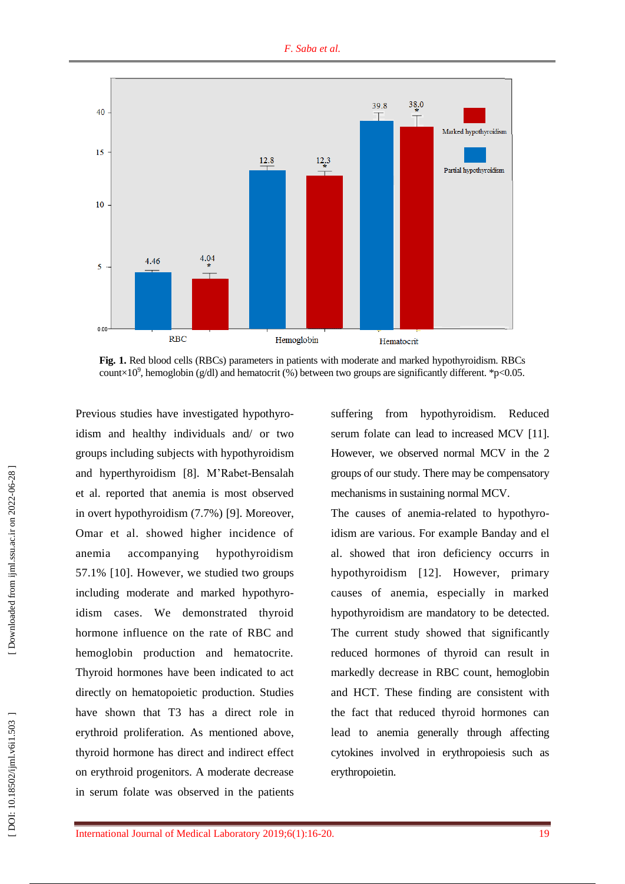

**Fig . 1 .** Red blood cells (RBCs) parameters in patients with moderate and marked hypothyroidism. RBCs count $\times$ 10<sup>9</sup>, hemoglobin (g/dl) and hematocrit (%) between two groups are significantly different. \*p<0.05.

Previous studies have investigate d hypothyro idism and healthy individuals and/ or two groups including subjects with hypothyroidism and hyperthyroidism [ 8 ]. M'Rabet -Bensalah et al . reported that anemia is most observed in overt hypothyroidism (7.7%) [ 9 ]. Moreover, Omar et al . showed higher incidence of anemia accompanying hypothyroidism 57.1% [10 ] . However, we studied two groups including moderate and marked hypothyro idism cases. We demonstrated thyroid hormone influence on the rate of RBC and hemoglobin production and hematocrite. Thyroid hormones have been indicated to act directly on hematopoietic production. Studies have shown that T3 has a direct role in erythroid proliferation. As mentioned above, thyroid hormone ha s direct and indirect effect on erythroid progenitors. A moderate decrease in serum folate was observed in the patient s

suffering from hypothyroidism. Reduced serum folate can lead to increased MCV [11]. However, we observed normal MCV in the 2 groups of our study. There may be compensatory mechanisms in sustaining normal MCV.

The causes of anemia-related to hypothyroidism are various . For example Banday and el al . showed that iron deficiency occurr s in hypothyroidism [1 2 ]. However, primary causes of anemia, especially in marked hypothyroidism are mandatory to be detected. The current study showed that significantly reduced hormones of thyroid can result in markedly decrease in RBC count, hemoglobin and HCT. These finding are consistent with the fact that reduced thyroid hormones can lead to anemia generally through affecting cytokines involved in erythropoiesis such as erythropoietin.

[Downloaded from ijml.ssu.ac.ir on 2022-06-28]